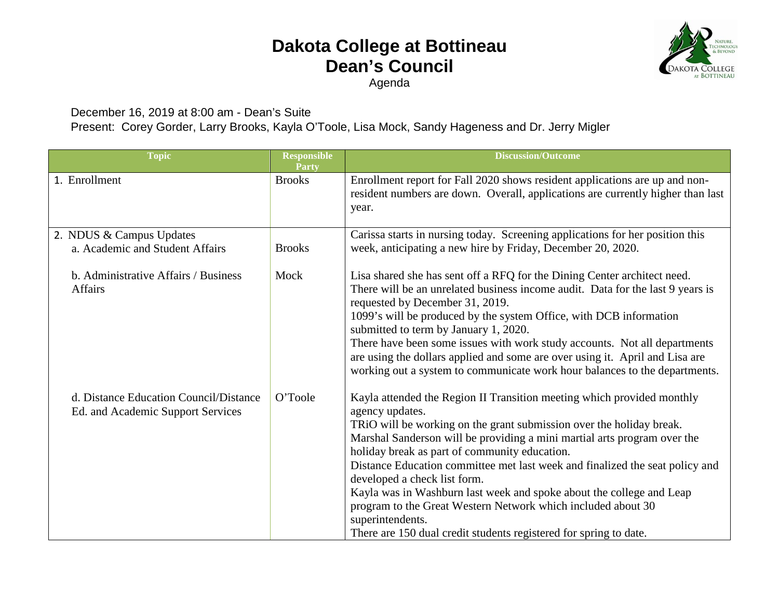## **Dakota College at Bottineau Dean's Council**

Agenda

**OLOG KOTA COLLEGE BOTTINEAU** 

December 16, 2019 at 8:00 am - Dean's Suite

Present: Corey Gorder, Larry Brooks, Kayla O'Toole, Lisa Mock, Sandy Hageness and Dr. Jerry Migler

| <b>Topic</b>                                                                | <b>Responsible</b><br><b>Party</b> | <b>Discussion/Outcome</b>                                                                                                                                                                                                                                                                                                                                                                                                                                                                                                                                                                                                                       |
|-----------------------------------------------------------------------------|------------------------------------|-------------------------------------------------------------------------------------------------------------------------------------------------------------------------------------------------------------------------------------------------------------------------------------------------------------------------------------------------------------------------------------------------------------------------------------------------------------------------------------------------------------------------------------------------------------------------------------------------------------------------------------------------|
| 1. Enrollment                                                               | <b>Brooks</b>                      | Enrollment report for Fall 2020 shows resident applications are up and non-<br>resident numbers are down. Overall, applications are currently higher than last<br>year.                                                                                                                                                                                                                                                                                                                                                                                                                                                                         |
| 2. NDUS & Campus Updates<br>a. Academic and Student Affairs                 | <b>Brooks</b>                      | Carissa starts in nursing today. Screening applications for her position this<br>week, anticipating a new hire by Friday, December 20, 2020.                                                                                                                                                                                                                                                                                                                                                                                                                                                                                                    |
| b. Administrative Affairs / Business<br><b>Affairs</b>                      | Mock                               | Lisa shared she has sent off a RFQ for the Dining Center architect need.<br>There will be an unrelated business income audit. Data for the last 9 years is<br>requested by December 31, 2019.<br>1099's will be produced by the system Office, with DCB information<br>submitted to term by January 1, 2020.<br>There have been some issues with work study accounts. Not all departments<br>are using the dollars applied and some are over using it. April and Lisa are<br>working out a system to communicate work hour balances to the departments.                                                                                         |
| d. Distance Education Council/Distance<br>Ed. and Academic Support Services | O'Toole                            | Kayla attended the Region II Transition meeting which provided monthly<br>agency updates.<br>TRiO will be working on the grant submission over the holiday break.<br>Marshal Sanderson will be providing a mini martial arts program over the<br>holiday break as part of community education.<br>Distance Education committee met last week and finalized the seat policy and<br>developed a check list form.<br>Kayla was in Washburn last week and spoke about the college and Leap<br>program to the Great Western Network which included about 30<br>superintendents.<br>There are 150 dual credit students registered for spring to date. |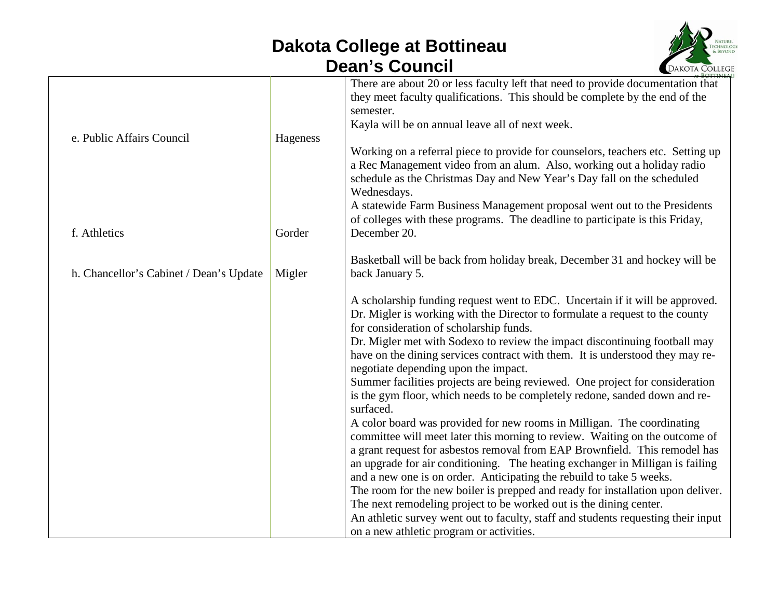## **Dakota College at Bottineau Dean's Council**



|                                         |          | <b>BOTTINEA</b>                                                                                                                                                                                                                                    |
|-----------------------------------------|----------|----------------------------------------------------------------------------------------------------------------------------------------------------------------------------------------------------------------------------------------------------|
|                                         |          | There are about 20 or less faculty left that need to provide documentation that<br>they meet faculty qualifications. This should be complete by the end of the<br>semester.                                                                        |
|                                         |          | Kayla will be on annual leave all of next week.                                                                                                                                                                                                    |
| e. Public Affairs Council               | Hageness |                                                                                                                                                                                                                                                    |
|                                         |          | Working on a referral piece to provide for counselors, teachers etc. Setting up<br>a Rec Management video from an alum. Also, working out a holiday radio<br>schedule as the Christmas Day and New Year's Day fall on the scheduled<br>Wednesdays. |
|                                         |          | A statewide Farm Business Management proposal went out to the Presidents                                                                                                                                                                           |
| f. Athletics                            | Gorder   | of colleges with these programs. The deadline to participate is this Friday,<br>December 20.                                                                                                                                                       |
|                                         |          |                                                                                                                                                                                                                                                    |
|                                         |          | Basketball will be back from holiday break, December 31 and hockey will be                                                                                                                                                                         |
| h. Chancellor's Cabinet / Dean's Update | Migler   | back January 5.                                                                                                                                                                                                                                    |
|                                         |          | A scholarship funding request went to EDC. Uncertain if it will be approved.                                                                                                                                                                       |
|                                         |          | Dr. Migler is working with the Director to formulate a request to the county<br>for consideration of scholarship funds.                                                                                                                            |
|                                         |          | Dr. Migler met with Sodexo to review the impact discontinuing football may                                                                                                                                                                         |
|                                         |          | have on the dining services contract with them. It is understood they may re-<br>negotiate depending upon the impact.                                                                                                                              |
|                                         |          | Summer facilities projects are being reviewed. One project for consideration                                                                                                                                                                       |
|                                         |          | is the gym floor, which needs to be completely redone, sanded down and re-<br>surfaced.                                                                                                                                                            |
|                                         |          | A color board was provided for new rooms in Milligan. The coordinating                                                                                                                                                                             |
|                                         |          | committee will meet later this morning to review. Waiting on the outcome of                                                                                                                                                                        |
|                                         |          | a grant request for asbestos removal from EAP Brownfield. This remodel has                                                                                                                                                                         |
|                                         |          | an upgrade for air conditioning. The heating exchanger in Milligan is failing                                                                                                                                                                      |
|                                         |          | and a new one is on order. Anticipating the rebuild to take 5 weeks.                                                                                                                                                                               |
|                                         |          | The room for the new boiler is prepped and ready for installation upon deliver.                                                                                                                                                                    |
|                                         |          | The next remodeling project to be worked out is the dining center.                                                                                                                                                                                 |
|                                         |          | An athletic survey went out to faculty, staff and students requesting their input                                                                                                                                                                  |
|                                         |          | on a new athletic program or activities.                                                                                                                                                                                                           |